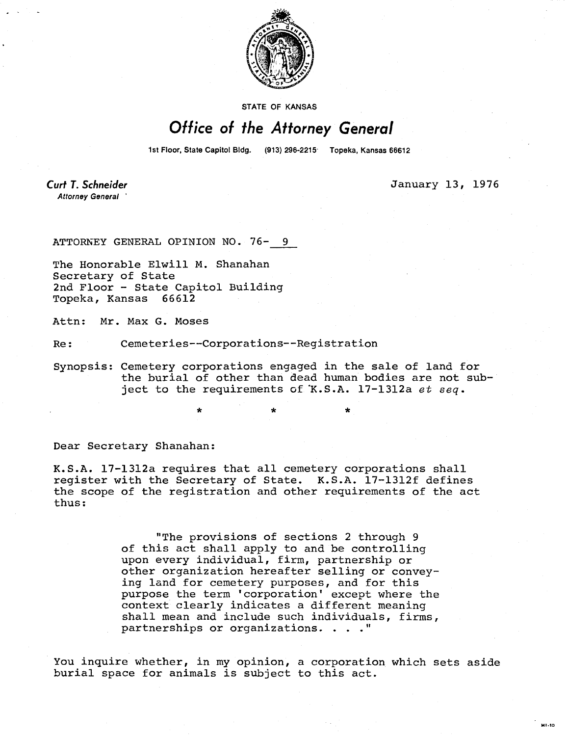

**STATE OF KANSAS** 

## Office of the Attorney General

1st Floor, State Capitol Bldg. (913) 296-2215 Topeka, Kansas 66612

**Curt T. Schneider** Attorney General

January 13, 1976

м1.10

ATTORNEY GENERAL OPINION NO. 76- 9

The Honorable Elwill M. Shanahan Secretary of State 2nd Floor - State Capitol Building Topeka, Kansas 66612

Attn: Mr. Max G. Moses

Re: Cemeteries--Corporations--Registration

Synopsis: Cemetery corporations engaged in the sale of land for the burial of other than dead human bodies are not subject to the requirements of K.S.A. 17-1312a et seq.

Dear Secretary Shanahan:

K.S.A. 17-1312a requires that all cemetery corporations shall register with the Secretary of State. K.S.A. 17-1312f defines the scope of the registration and other requirements of the act thus:

> "The provisions of sections 2 through 9 of this act shall apply to and be controlling upon every individual, firm, partnership or other organization hereafter selling or conveying land for cemetery purposes, and for this purpose the term 'corporation' except where the context clearly indicates a different meaning shall mean and include such individuals, firms, partnerships or organizations. . . ."

You inquire whether, in my opinion, a corporation which sets aside burial space for animals is subject to this act.